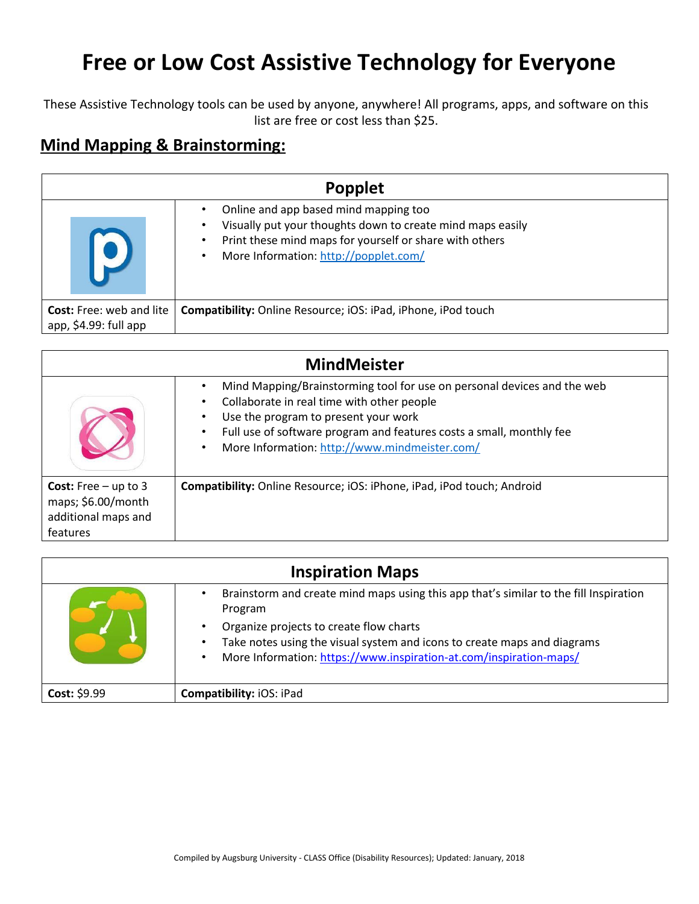## **Free or Low Cost Assistive Technology for Everyone**

These Assistive Technology tools can be used by anyone, anywhere! All programs, apps, and software on this list are free or cost less than \$25.

## **Mind Mapping & Brainstorming:**

| <b>Popplet</b>                                           |                                                                                                                                                                                                                                        |  |
|----------------------------------------------------------|----------------------------------------------------------------------------------------------------------------------------------------------------------------------------------------------------------------------------------------|--|
|                                                          | Online and app based mind mapping too<br>Visually put your thoughts down to create mind maps easily<br>$\bullet$<br>Print these mind maps for yourself or share with others<br>٠<br>More Information: http://popplet.com/<br>$\bullet$ |  |
| <b>Cost:</b> Free: web and lite<br>app, \$4.99: full app | Compatibility: Online Resource; iOS: iPad, iPhone, iPod touch                                                                                                                                                                          |  |

| <b>MindMeister</b>                                                                     |                                                                                                                                                                                                                                                                                                                                         |  |
|----------------------------------------------------------------------------------------|-----------------------------------------------------------------------------------------------------------------------------------------------------------------------------------------------------------------------------------------------------------------------------------------------------------------------------------------|--|
|                                                                                        | Mind Mapping/Brainstorming tool for use on personal devices and the web<br>٠<br>Collaborate in real time with other people<br>٠<br>Use the program to present your work<br>$\bullet$<br>Full use of software program and features costs a small, monthly fee<br>$\bullet$<br>More Information: http://www.mindmeister.com/<br>$\bullet$ |  |
| <b>Cost:</b> Free $-$ up to 3<br>maps; \$6.00/month<br>additional maps and<br>features | Compatibility: Online Resource; iOS: iPhone, iPad, iPod touch; Android                                                                                                                                                                                                                                                                  |  |

| <b>Inspiration Maps</b> |                                                                                                                                                                                           |  |
|-------------------------|-------------------------------------------------------------------------------------------------------------------------------------------------------------------------------------------|--|
|                         | Brainstorm and create mind maps using this app that's similar to the fill Inspiration<br>Program                                                                                          |  |
|                         | Organize projects to create flow charts<br>Take notes using the visual system and icons to create maps and diagrams<br>More Information: https://www.inspiration-at.com/inspiration-maps/ |  |
| Cost: \$9.99            | <b>Compatibility: iOS: iPad</b>                                                                                                                                                           |  |